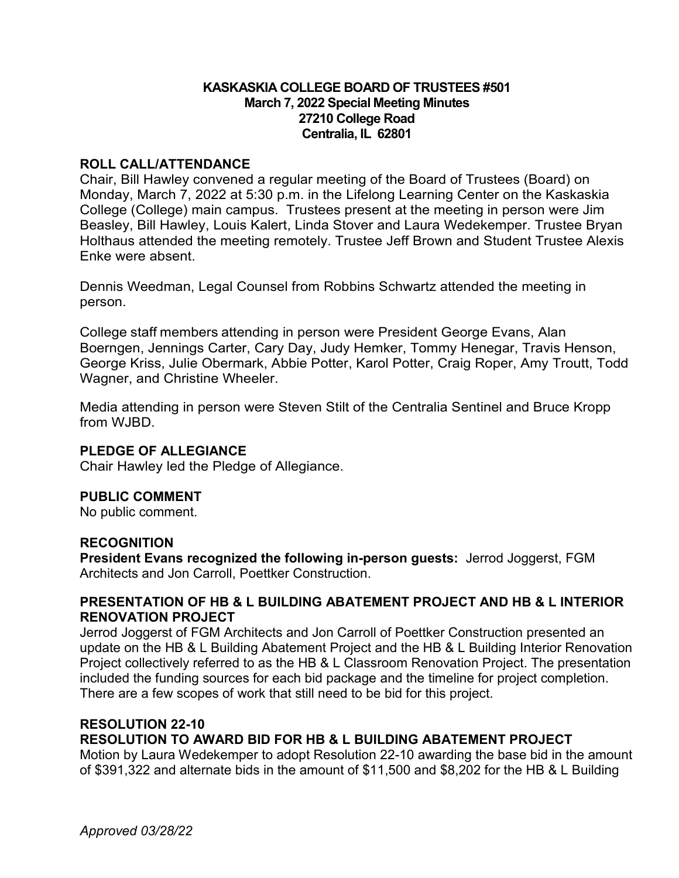## **KASKASKIA COLLEGE BOARD OF TRUSTEES #501 March 7, 2022 Special Meeting Minutes 27210 College Road Centralia, IL 62801**

# **ROLL CALL/ATTENDANCE**

Chair, Bill Hawley convened a regular meeting of the Board of Trustees (Board) on Monday, March 7, 2022 at 5:30 p.m. in the Lifelong Learning Center on the Kaskaskia College (College) main campus. Trustees present at the meeting in person were Jim Beasley, Bill Hawley, Louis Kalert, Linda Stover and Laura Wedekemper. Trustee Bryan Holthaus attended the meeting remotely. Trustee Jeff Brown and Student Trustee Alexis Enke were absent.

Dennis Weedman, Legal Counsel from Robbins Schwartz attended the meeting in person.

College staff members attending in person were President George Evans, Alan Boerngen, Jennings Carter, Cary Day, Judy Hemker, Tommy Henegar, Travis Henson, George Kriss, Julie Obermark, Abbie Potter, Karol Potter, Craig Roper, Amy Troutt, Todd Wagner, and Christine Wheeler.

Media attending in person were Steven Stilt of the Centralia Sentinel and Bruce Kropp from WJBD.

# **PLEDGE OF ALLEGIANCE**

Chair Hawley led the Pledge of Allegiance.

#### **PUBLIC COMMENT**

No public comment.

#### **RECOGNITION**

**President Evans recognized the following in-person guests:** Jerrod Joggerst, FGM Architects and Jon Carroll, Poettker Construction.

# **PRESENTATION OF HB & L BUILDING ABATEMENT PROJECT AND HB & L INTERIOR RENOVATION PROJECT**

Jerrod Joggerst of FGM Architects and Jon Carroll of Poettker Construction presented an update on the HB & L Building Abatement Project and the HB & L Building Interior Renovation Project collectively referred to as the HB & L Classroom Renovation Project. The presentation included the funding sources for each bid package and the timeline for project completion. There are a few scopes of work that still need to be bid for this project.

# **RESOLUTION 22-10**

# **RESOLUTION TO AWARD BID FOR HB & L BUILDING ABATEMENT PROJECT**

Motion by Laura Wedekemper to adopt Resolution 22-10 awarding the base bid in the amount of \$391,322 and alternate bids in the amount of \$11,500 and \$8,202 for the HB & L Building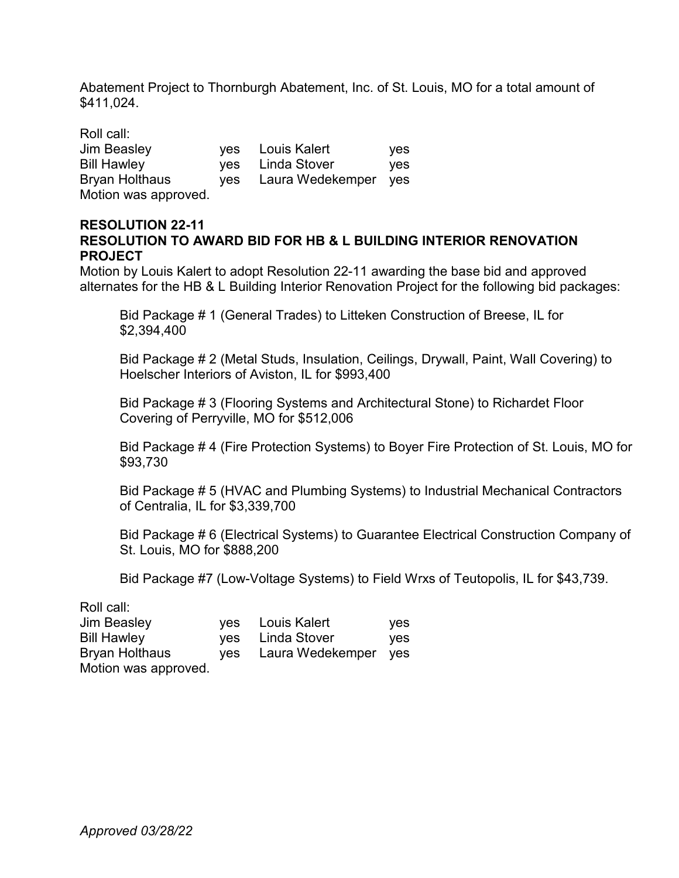Abatement Project to Thornburgh Abatement, Inc. of St. Louis, MO for a total amount of \$411,024.

| Roll call:            |     |                      |     |
|-----------------------|-----|----------------------|-----|
| <b>Jim Beasley</b>    |     | yes Louis Kalert     | yes |
| <b>Bill Hawley</b>    |     | ves Linda Stover     | ves |
| <b>Bryan Holthaus</b> | yes | Laura Wedekemper yes |     |
| Motion was approved.  |     |                      |     |

#### **RESOLUTION 22-11 RESOLUTION TO AWARD BID FOR HB & L BUILDING INTERIOR RENOVATION PROJECT**

Motion by Louis Kalert to adopt Resolution 22-11 awarding the base bid and approved alternates for the HB & L Building Interior Renovation Project for the following bid packages:

Bid Package # 1 (General Trades) to Litteken Construction of Breese, IL for \$2,394,400

Bid Package # 2 (Metal Studs, Insulation, Ceilings, Drywall, Paint, Wall Covering) to Hoelscher Interiors of Aviston, IL for \$993,400

Bid Package # 3 (Flooring Systems and Architectural Stone) to Richardet Floor Covering of Perryville, MO for \$512,006

Bid Package # 4 (Fire Protection Systems) to Boyer Fire Protection of St. Louis, MO for \$93,730

Bid Package # 5 (HVAC and Plumbing Systems) to Industrial Mechanical Contractors of Centralia, IL for \$3,339,700

Bid Package # 6 (Electrical Systems) to Guarantee Electrical Construction Company of St. Louis, MO for \$888,200

Bid Package #7 (Low-Voltage Systems) to Field Wrxs of Teutopolis, IL for \$43,739.

Roll call:

| Jim Beasley           | yes Louis Kalert         | <b>ves</b> |
|-----------------------|--------------------------|------------|
| <b>Bill Hawley</b>    | ves Linda Stover         | <b>ves</b> |
| <b>Bryan Holthaus</b> | yes Laura Wedekemper yes |            |
| Motion was approved.  |                          |            |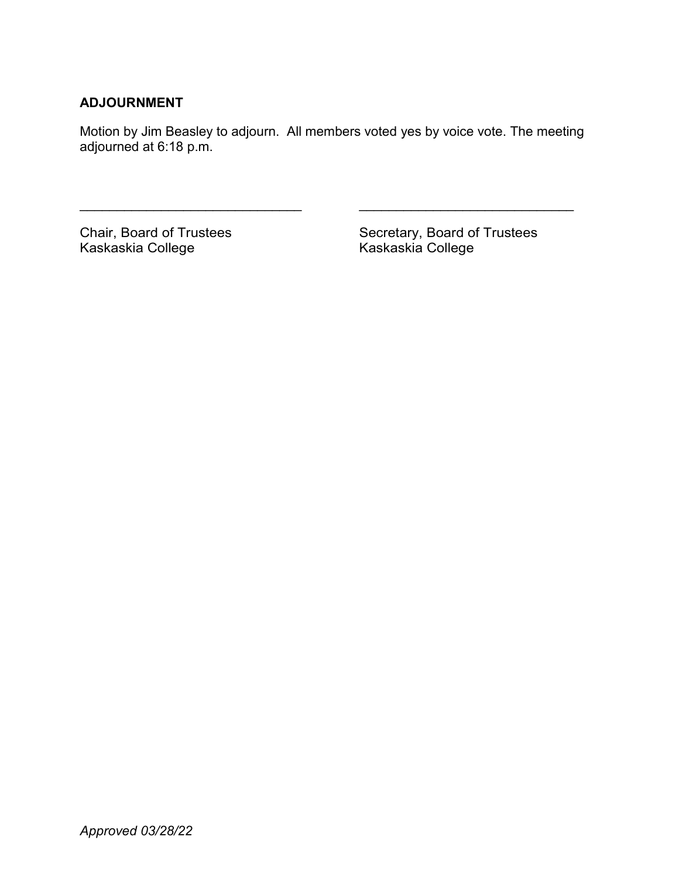# **ADJOURNMENT**

Motion by Jim Beasley to adjourn. All members voted yes by voice vote. The meeting adjourned at 6:18 p.m.

\_\_\_\_\_\_\_\_\_\_\_\_\_\_\_\_\_\_\_\_\_\_\_\_\_\_\_\_\_\_ \_\_\_\_\_\_\_\_\_\_\_\_\_\_\_\_\_\_\_\_\_\_\_\_\_\_\_\_\_

Kaskaskia College

Chair, Board of Trustees Secretary, Board of Trustees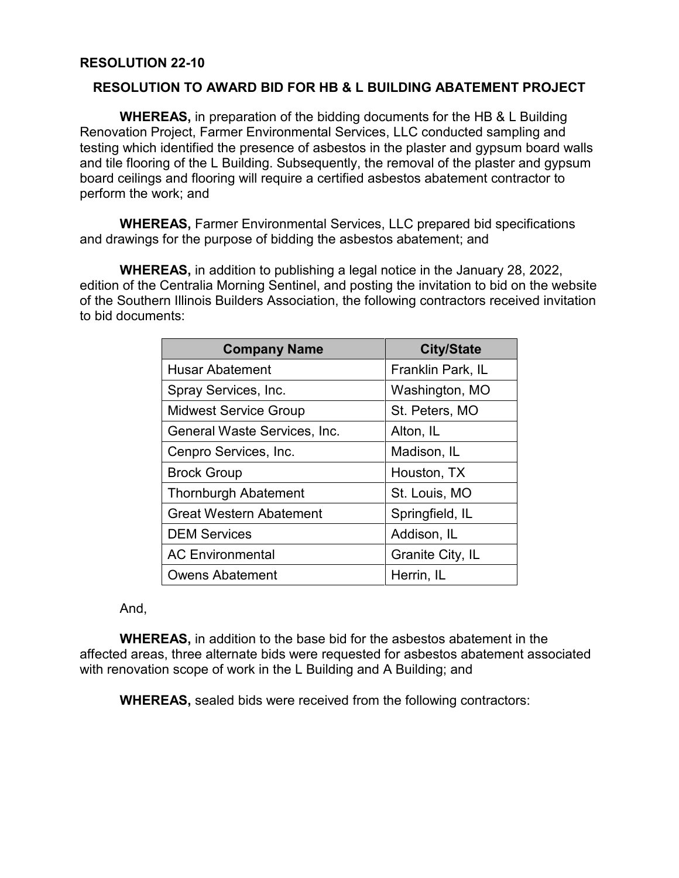# **RESOLUTION 22-10**

# **RESOLUTION TO AWARD BID FOR HB & L BUILDING ABATEMENT PROJECT**

**WHEREAS,** in preparation of the bidding documents for the HB & L Building Renovation Project, Farmer Environmental Services, LLC conducted sampling and testing which identified the presence of asbestos in the plaster and gypsum board walls and tile flooring of the L Building. Subsequently, the removal of the plaster and gypsum board ceilings and flooring will require a certified asbestos abatement contractor to perform the work; and

**WHEREAS,** Farmer Environmental Services, LLC prepared bid specifications and drawings for the purpose of bidding the asbestos abatement; and

**WHEREAS,** in addition to publishing a legal notice in the January 28, 2022, edition of the Centralia Morning Sentinel, and posting the invitation to bid on the website of the Southern Illinois Builders Association, the following contractors received invitation to bid documents:

| <b>Company Name</b>            | <b>City/State</b> |
|--------------------------------|-------------------|
| <b>Husar Abatement</b>         | Franklin Park, IL |
| Spray Services, Inc.           | Washington, MO    |
| <b>Midwest Service Group</b>   | St. Peters, MO    |
| General Waste Services, Inc.   | Alton, IL         |
| Cenpro Services, Inc.          | Madison, IL       |
| <b>Brock Group</b>             | Houston, TX       |
| <b>Thornburgh Abatement</b>    | St. Louis, MO     |
| <b>Great Western Abatement</b> | Springfield, IL   |
| <b>DEM Services</b>            | Addison, IL       |
| <b>AC Environmental</b>        | Granite City, IL  |
| <b>Owens Abatement</b>         | Herrin, IL        |

# And,

**WHEREAS,** in addition to the base bid for the asbestos abatement in the affected areas, three alternate bids were requested for asbestos abatement associated with renovation scope of work in the L Building and A Building; and

**WHEREAS,** sealed bids were received from the following contractors: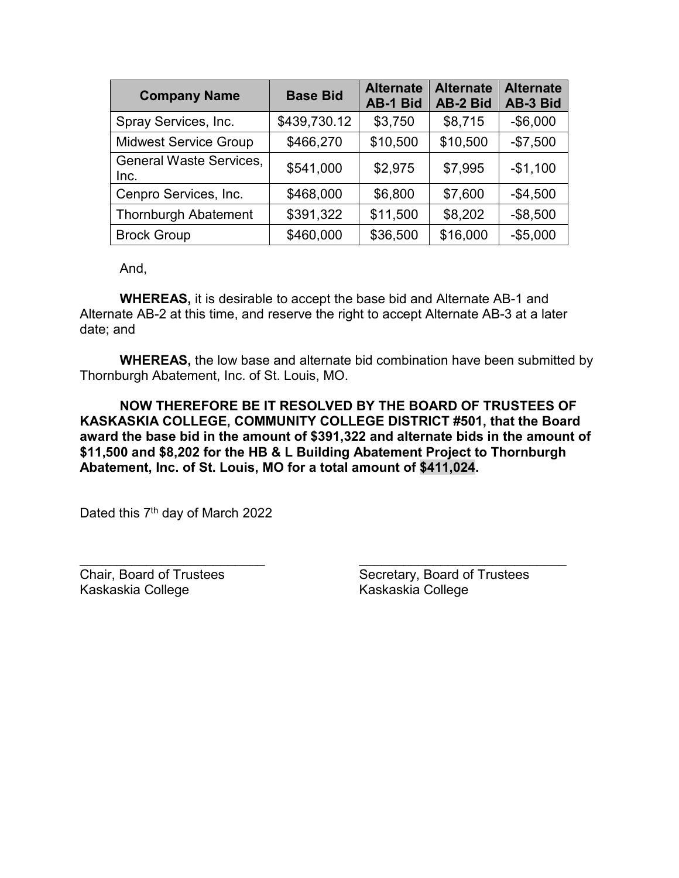| <b>Company Name</b>                    | <b>Base Bid</b> | <b>Alternate</b><br><b>AB-1 Bid</b> | <b>Alternate</b><br>AB-2 Bid | <b>Alternate</b><br>AB-3 Bid |
|----------------------------------------|-----------------|-------------------------------------|------------------------------|------------------------------|
| Spray Services, Inc.                   | \$439,730.12    | \$3,750                             | \$8,715                      | $-$6,000$                    |
| <b>Midwest Service Group</b>           | \$466,270       | \$10,500                            | \$10,500                     | $-$7,500$                    |
| <b>General Waste Services,</b><br>Inc. | \$541,000       | \$2,975                             | \$7,995                      | $-$1,100$                    |
| Cenpro Services, Inc.                  | \$468,000       | \$6,800                             | \$7,600                      | $-$4,500$                    |
| <b>Thornburgh Abatement</b>            | \$391,322       | \$11,500                            | \$8,202                      | $-$ \$8,500                  |
| <b>Brock Group</b>                     | \$460,000       | \$36,500                            | \$16,000                     | $-$5,000$                    |

And,

**WHEREAS,** it is desirable to accept the base bid and Alternate AB-1 and Alternate AB-2 at this time, and reserve the right to accept Alternate AB-3 at a later date; and

**WHEREAS,** the low base and alternate bid combination have been submitted by Thornburgh Abatement, Inc. of St. Louis, MO.

**NOW THEREFORE BE IT RESOLVED BY THE BOARD OF TRUSTEES OF KASKASKIA COLLEGE, COMMUNITY COLLEGE DISTRICT #501, that the Board award the base bid in the amount of \$391,322 and alternate bids in the amount of \$11,500 and \$8,202 for the HB & L Building Abatement Project to Thornburgh Abatement, Inc. of St. Louis, MO for a total amount of \$411,024.**

Dated this 7<sup>th</sup> day of March 2022

\_\_\_\_\_\_\_\_\_\_\_\_\_\_\_\_\_\_\_\_\_\_\_\_\_ \_\_\_\_\_\_\_\_\_\_\_\_\_\_\_\_\_\_\_\_\_\_\_\_\_\_\_\_ Kaskaskia College Kaskaskia College

Chair, Board of Trustees Secretary, Board of Trustees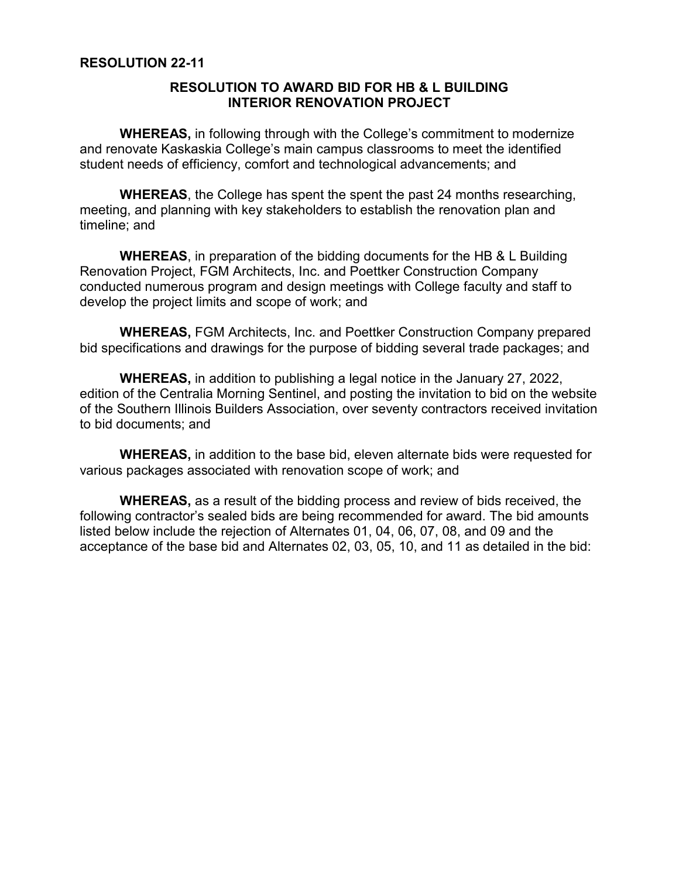# **RESOLUTION 22-11**

# **RESOLUTION TO AWARD BID FOR HB & L BUILDING INTERIOR RENOVATION PROJECT**

**WHEREAS,** in following through with the College's commitment to modernize and renovate Kaskaskia College's main campus classrooms to meet the identified student needs of efficiency, comfort and technological advancements; and

**WHEREAS**, the College has spent the spent the past 24 months researching, meeting, and planning with key stakeholders to establish the renovation plan and timeline; and

**WHEREAS**, in preparation of the bidding documents for the HB & L Building Renovation Project, FGM Architects, Inc. and Poettker Construction Company conducted numerous program and design meetings with College faculty and staff to develop the project limits and scope of work; and

**WHEREAS,** FGM Architects, Inc. and Poettker Construction Company prepared bid specifications and drawings for the purpose of bidding several trade packages; and

**WHEREAS,** in addition to publishing a legal notice in the January 27, 2022, edition of the Centralia Morning Sentinel, and posting the invitation to bid on the website of the Southern Illinois Builders Association, over seventy contractors received invitation to bid documents; and

**WHEREAS,** in addition to the base bid, eleven alternate bids were requested for various packages associated with renovation scope of work; and

**WHEREAS,** as a result of the bidding process and review of bids received, the following contractor's sealed bids are being recommended for award. The bid amounts listed below include the rejection of Alternates 01, 04, 06, 07, 08, and 09 and the acceptance of the base bid and Alternates 02, 03, 05, 10, and 11 as detailed in the bid: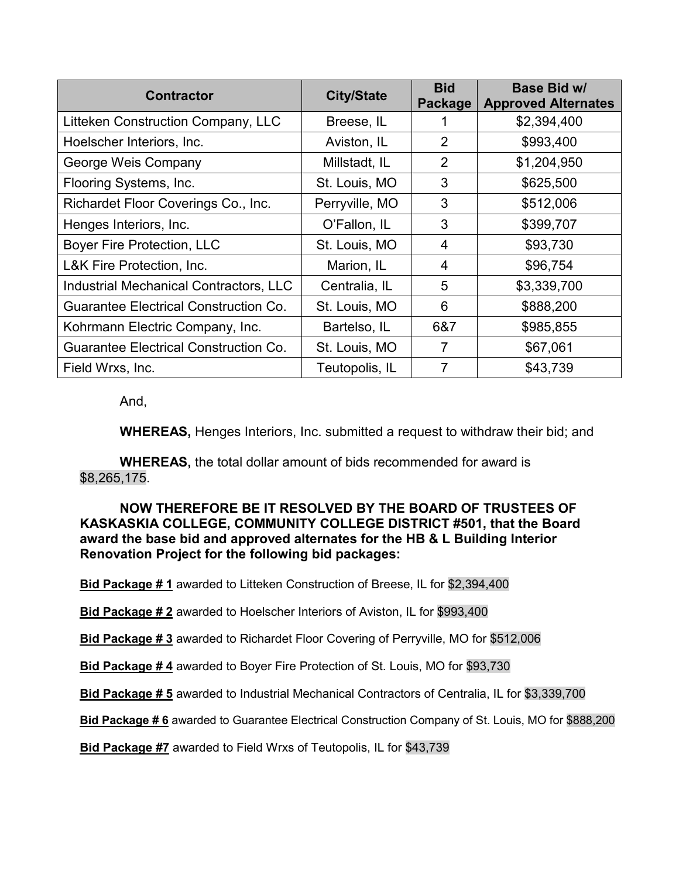| <b>Contractor</b>                            | <b>City/State</b> | <b>Bid</b><br>Package | Base Bid w/<br><b>Approved Alternates</b> |
|----------------------------------------------|-------------------|-----------------------|-------------------------------------------|
| Litteken Construction Company, LLC           | Breese, IL        |                       | \$2,394,400                               |
| Hoelscher Interiors, Inc.                    | Aviston, IL       | 2                     | \$993,400                                 |
| George Weis Company                          | Millstadt, IL     | 2                     | \$1,204,950                               |
| Flooring Systems, Inc.                       | St. Louis, MO     | 3                     | \$625,500                                 |
| Richardet Floor Coverings Co., Inc.          | Perryville, MO    | 3                     | \$512,006                                 |
| Henges Interiors, Inc.                       | O'Fallon, IL      | 3                     | \$399,707                                 |
| Boyer Fire Protection, LLC                   | St. Louis, MO     | 4                     | \$93,730                                  |
| L&K Fire Protection, Inc.                    | Marion, IL        | 4                     | \$96,754                                  |
| Industrial Mechanical Contractors, LLC       | Centralia, IL     | 5                     | \$3,339,700                               |
| <b>Guarantee Electrical Construction Co.</b> | St. Louis, MO     | 6                     | \$888,200                                 |
| Kohrmann Electric Company, Inc.              | Bartelso, IL      | 6&7                   | \$985,855                                 |
| <b>Guarantee Electrical Construction Co.</b> | St. Louis, MO     | 7                     | \$67,061                                  |
| Field Wrxs, Inc.                             | Teutopolis, IL    | 7                     | \$43,739                                  |

And,

**WHEREAS,** Henges Interiors, Inc. submitted a request to withdraw their bid; and

**WHEREAS,** the total dollar amount of bids recommended for award is \$8,265,175.

**NOW THEREFORE BE IT RESOLVED BY THE BOARD OF TRUSTEES OF KASKASKIA COLLEGE, COMMUNITY COLLEGE DISTRICT #501, that the Board award the base bid and approved alternates for the HB & L Building Interior Renovation Project for the following bid packages:**

**Bid Package # 1** awarded to Litteken Construction of Breese, IL for \$2,394,400

**Bid Package # 2** awarded to Hoelscher Interiors of Aviston, IL for \$993,400

**Bid Package # 3** awarded to Richardet Floor Covering of Perryville, MO for \$512,006

**Bid Package # 4** awarded to Boyer Fire Protection of St. Louis, MO for \$93,730

**Bid Package # 5** awarded to Industrial Mechanical Contractors of Centralia, IL for \$3,339,700

**Bid Package # 6** awarded to Guarantee Electrical Construction Company of St. Louis, MO for \$888,200

**Bid Package #7** awarded to Field Wrxs of Teutopolis, IL for \$43,739